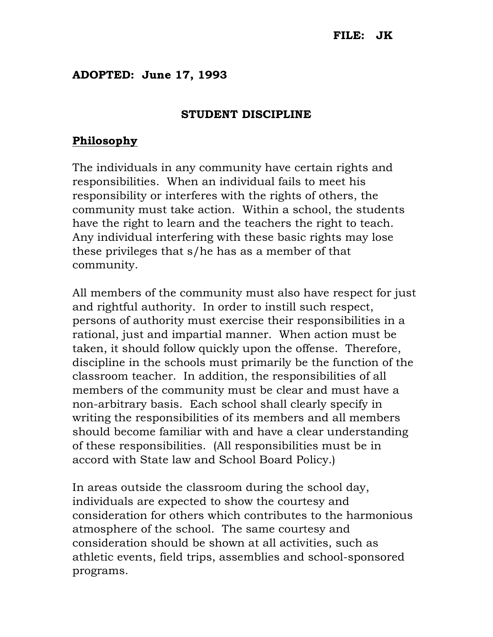## ADOPTED: June 17, 1993

## STUDENT DISCIPLINE

## **Philosophy**

The individuals in any community have certain rights and responsibilities. When an individual fails to meet his responsibility or interferes with the rights of others, the community must take action. Within a school, the students have the right to learn and the teachers the right to teach. Any individual interfering with these basic rights may lose these privileges that s/he has as a member of that community.

All members of the community must also have respect for just and rightful authority. In order to instill such respect, persons of authority must exercise their responsibilities in a rational, just and impartial manner. When action must be taken, it should follow quickly upon the offense. Therefore, discipline in the schools must primarily be the function of the classroom teacher. In addition, the responsibilities of all members of the community must be clear and must have a non-arbitrary basis. Each school shall clearly specify in writing the responsibilities of its members and all members should become familiar with and have a clear understanding of these responsibilities. (All responsibilities must be in accord with State law and School Board Policy.)

In areas outside the classroom during the school day, individuals are expected to show the courtesy and consideration for others which contributes to the harmonious atmosphere of the school. The same courtesy and consideration should be shown at all activities, such as athletic events, field trips, assemblies and school-sponsored programs.